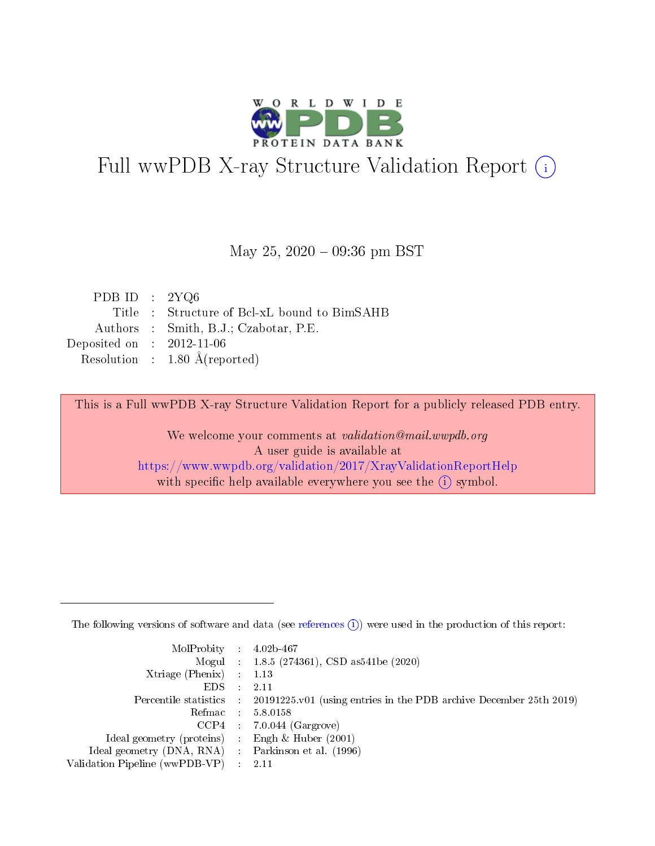

# Full wwPDB X-ray Structure Validation Report (i)

#### May 25,  $2020 - 09:36$  pm BST

| PDB ID : $2YQ6$             |                                              |
|-----------------------------|----------------------------------------------|
|                             | Title : Structure of Bcl-xL bound to BimSAHB |
|                             | Authors : Smith, B.J.; Czabotar, P.E.        |
| Deposited on : $2012-11-06$ |                                              |
|                             | Resolution : $1.80 \text{ Å}$ (reported)     |

This is a Full wwPDB X-ray Structure Validation Report for a publicly released PDB entry.

We welcome your comments at validation@mail.wwpdb.org A user guide is available at <https://www.wwpdb.org/validation/2017/XrayValidationReportHelp> with specific help available everywhere you see the  $(i)$  symbol.

The following versions of software and data (see [references](https://www.wwpdb.org/validation/2017/XrayValidationReportHelp#references)  $(1)$ ) were used in the production of this report:

| $MolProbability$ : 4.02b-467                        |                                                                                            |
|-----------------------------------------------------|--------------------------------------------------------------------------------------------|
|                                                     | Mogul : 1.8.5 (274361), CSD as 541be (2020)                                                |
| Xtriage (Phenix) $: 1.13$                           |                                                                                            |
| EDS :                                               | -2.11                                                                                      |
|                                                     | Percentile statistics : 20191225.v01 (using entries in the PDB archive December 25th 2019) |
| Refmac 58.0158                                      |                                                                                            |
|                                                     | $CCP4$ 7.0.044 (Gargrove)                                                                  |
| Ideal geometry (proteins) : Engh $\&$ Huber (2001)  |                                                                                            |
| Ideal geometry (DNA, RNA) : Parkinson et al. (1996) |                                                                                            |
| Validation Pipeline (wwPDB-VP) : 2.11               |                                                                                            |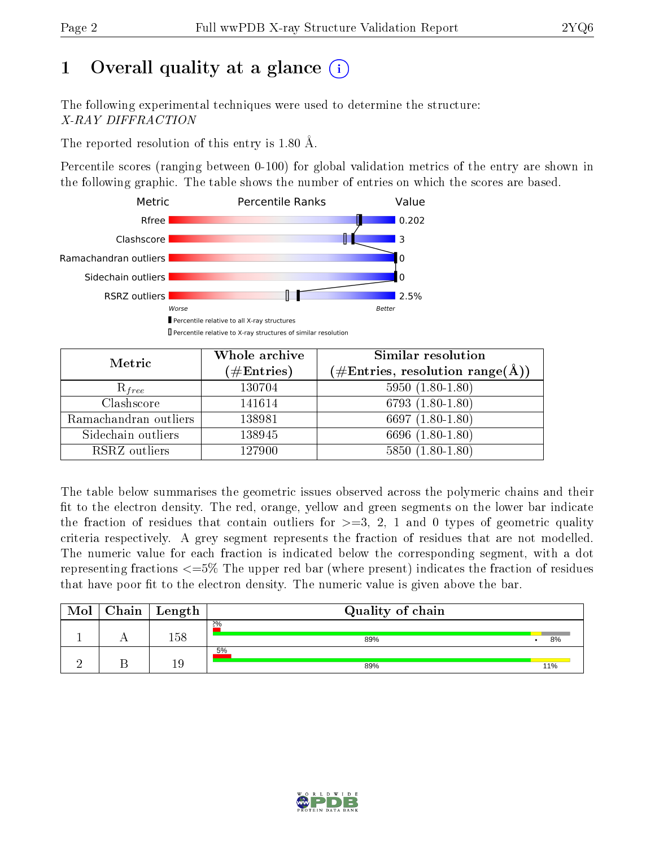# 1 [O](https://www.wwpdb.org/validation/2017/XrayValidationReportHelp#overall_quality)verall quality at a glance  $(i)$

The following experimental techniques were used to determine the structure: X-RAY DIFFRACTION

The reported resolution of this entry is 1.80 Å.

Percentile scores (ranging between 0-100) for global validation metrics of the entry are shown in the following graphic. The table shows the number of entries on which the scores are based.



| Metric                | Whole archive<br>$(\#\text{Entries})$ | Similar resolution<br>$(\#\text{Entries}, \text{resolution range}(\AA))$ |
|-----------------------|---------------------------------------|--------------------------------------------------------------------------|
| $R_{free}$            | 130704                                | $5950(1.80-1.80)$                                                        |
| Clashscore            | 141614                                | 6793 $(1.80-1.80)$                                                       |
| Ramachandran outliers | 138981                                | $\overline{6697}$ $(1.80-1.80)$                                          |
| Sidechain outliers    | 138945                                | 6696 (1.80-1.80)                                                         |
| RSRZ outliers         | 127900                                | $5850(1.80-1.80)$                                                        |

The table below summarises the geometric issues observed across the polymeric chains and their fit to the electron density. The red, orange, yellow and green segments on the lower bar indicate the fraction of residues that contain outliers for  $>=3, 2, 1$  and 0 types of geometric quality criteria respectively. A grey segment represents the fraction of residues that are not modelled. The numeric value for each fraction is indicated below the corresponding segment, with a dot representing fractions <=5% The upper red bar (where present) indicates the fraction of residues that have poor fit to the electron density. The numeric value is given above the bar.

| Mol | Chain | $\vert$ Length | Quality of chain |     |
|-----|-------|----------------|------------------|-----|
|     |       | 158            | 2%<br>89%        | 8%  |
|     |       | 19             | 5%<br>89%        | 11% |

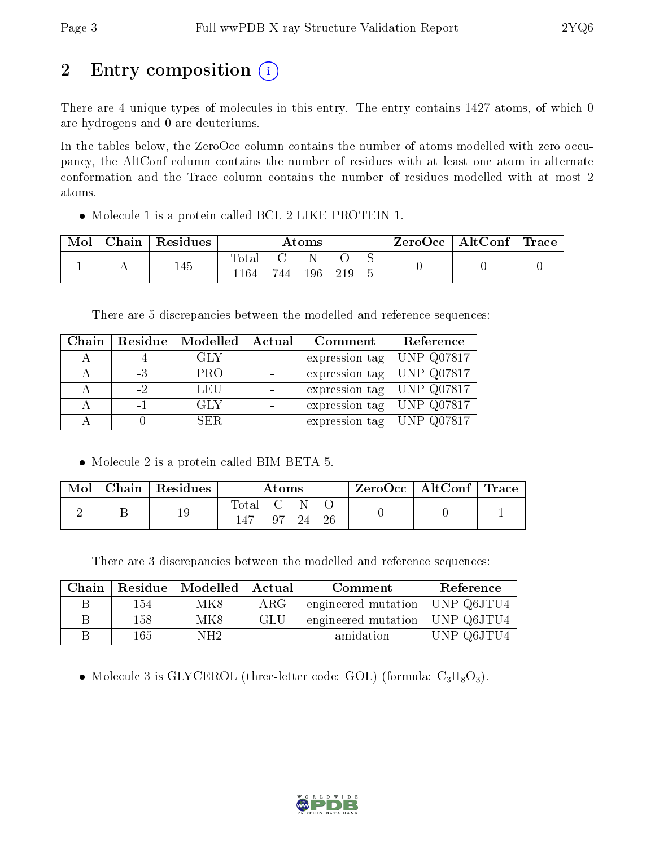# 2 Entry composition (i)

There are 4 unique types of molecules in this entry. The entry contains 1427 atoms, of which 0 are hydrogens and 0 are deuteriums.

In the tables below, the ZeroOcc column contains the number of atoms modelled with zero occupancy, the AltConf column contains the number of residues with at least one atom in alternate conformation and the Trace column contains the number of residues modelled with at most 2 atoms.

Molecule 1 is a protein called BCL-2-LIKE PROTEIN 1.

| Mol | $\operatorname{\mathsf{Chain}}$ . | <sup>1</sup> Residues | Atoms |      |         |  |  | ZeroOcc   AltConf   Trace |  |
|-----|-----------------------------------|-----------------------|-------|------|---------|--|--|---------------------------|--|
|     |                                   | 145                   | 'ota. |      |         |  |  |                           |  |
|     |                                   |                       | l 164 | 744. | $196\,$ |  |  |                           |  |

There are 5 discrepancies between the modelled and reference sequences:

| Chain | Residue | Modelled   | Actual | Comment        | Reference         |
|-------|---------|------------|--------|----------------|-------------------|
|       | -4      | GLY        |        | expression tag | <b>UNP Q07817</b> |
|       | $-3$    | <b>PRO</b> |        | expression tag | <b>UNP Q07817</b> |
|       | $-2$    | LEU        |        | expression tag | <b>UNP Q07817</b> |
|       | -1      | GLY        |        | expression tag | <b>UNP Q07817</b> |
|       |         | SER.       |        | expression tag | <b>UNP Q07817</b> |

• Molecule 2 is a protein called BIM BETA 5.

| $\operatorname{Mol}$ | $\vert$ Chain $\vert$ Residues | Atoms                                                                     |  |          |  | $\text{ZeroOcc} \mid \text{AltConf} \mid \text{Trace}$ |  |
|----------------------|--------------------------------|---------------------------------------------------------------------------|--|----------|--|--------------------------------------------------------|--|
|                      |                                | $\begin{bmatrix} \text{Total} & \text{C} & \text{C} \end{bmatrix}$<br>147 |  | 97 24 26 |  |                                                        |  |

There are 3 discrepancies between the modelled and reference sequences:

| Chain |     | Residue   Modelled | Actual     | Comment             | Reference  |
|-------|-----|--------------------|------------|---------------------|------------|
|       | 154 | MK8                | $\rm{ARG}$ | engineered mutation | UNP Q6JTU4 |
|       | 158 | MK8                | GLU        | engineered mutation | UNP Q6JTU4 |
|       | 165 | NH2                |            | amidation           | UNP Q6JTU4 |

• Molecule 3 is GLYCEROL (three-letter code: GOL) (formula:  $C_3H_8O_3$ ).

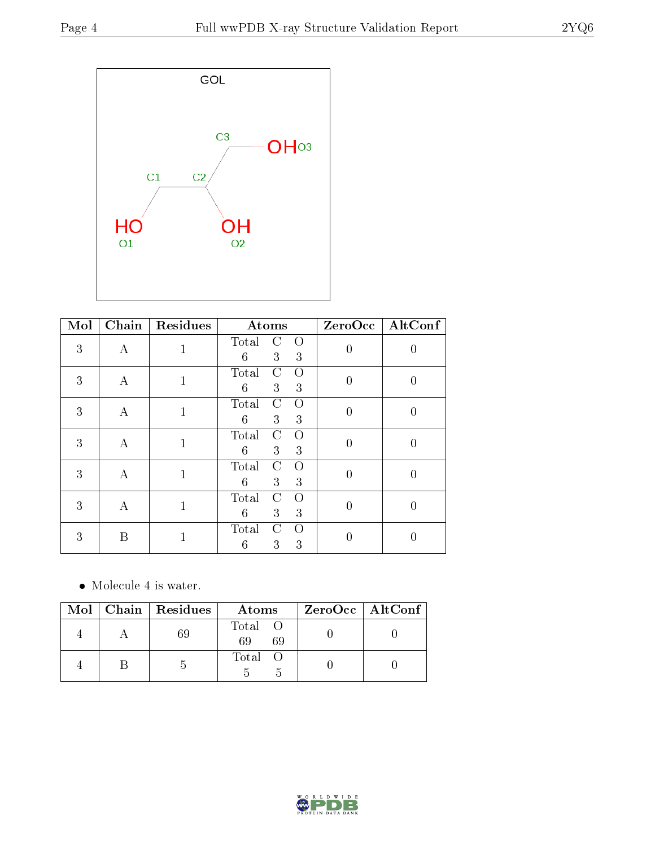

| Mol | Chain    | Residues     | Atoms                                 |                | $ZeroOcc$ $\fbox{AltConf}$ |
|-----|----------|--------------|---------------------------------------|----------------|----------------------------|
| 3   | $\bf{A}$ | 1            | Total<br>$\Omega$<br>C<br>3<br>6<br>3 | 0              | 0                          |
| 3   | А        | $\mathbf{1}$ | Total<br>C<br>Ω<br>6<br>3<br>3        | $\overline{0}$ | $\overline{0}$             |
| 3   | А        | $\mathbf{1}$ | Total<br>C<br>$\Omega$<br>6<br>3<br>3 | $\overline{0}$ | $\boldsymbol{0}$           |
| 3   | А        | $\mathbf 1$  | Total<br>C<br>Ω<br>6<br>3<br>3        | $\overline{0}$ | 0                          |
| 3   | А        | 1            | Total<br>C<br>$\Omega$<br>3<br>6<br>3 | $\overline{0}$ | $\left( \right)$           |
| 3   | A        | 1            | C<br>Total<br>$\Omega$<br>3<br>6<br>3 | 0              | $\theta$                   |
| 3   | B        |              | Total<br>C<br>$\Omega$<br>6<br>3<br>3 |                | 0                          |

• Molecule 4 is water.

|  | $Mol$   Chain   Residues | Atoms               | ZeroOcc   AltConf |
|--|--------------------------|---------------------|-------------------|
|  | -69                      | Total O<br>69<br>69 |                   |
|  |                          | Total O             |                   |

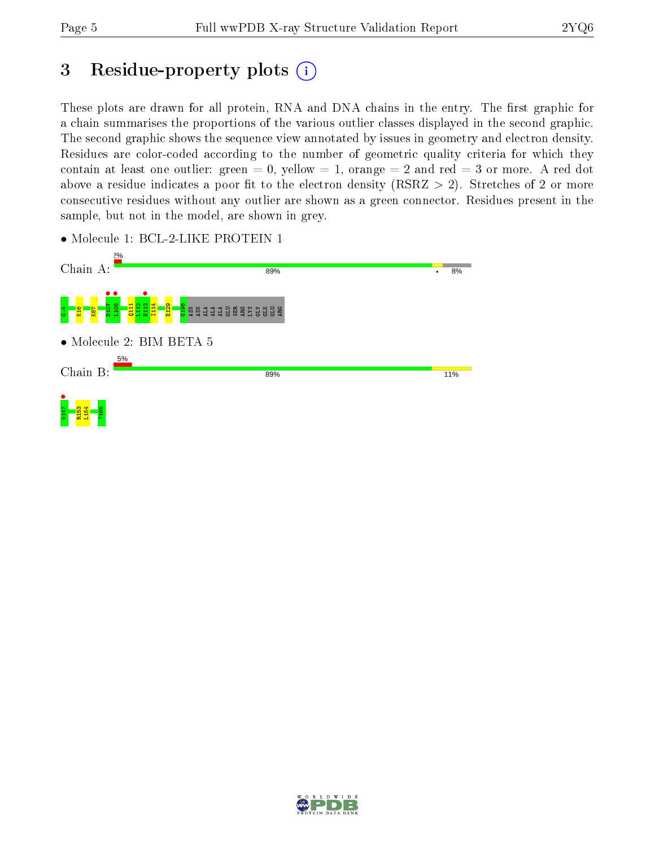## 3 Residue-property plots  $(i)$

These plots are drawn for all protein, RNA and DNA chains in the entry. The first graphic for a chain summarises the proportions of the various outlier classes displayed in the second graphic. The second graphic shows the sequence view annotated by issues in geometry and electron density. Residues are color-coded according to the number of geometric quality criteria for which they contain at least one outlier: green  $= 0$ , yellow  $= 1$ , orange  $= 2$  and red  $= 3$  or more. A red dot above a residue indicates a poor fit to the electron density (RSRZ  $> 2$ ). Stretches of 2 or more consecutive residues without any outlier are shown as a green connector. Residues present in the sample, but not in the model, are shown in grey.



• Molecule 1: BCL-2-LIKE PROTEIN 1

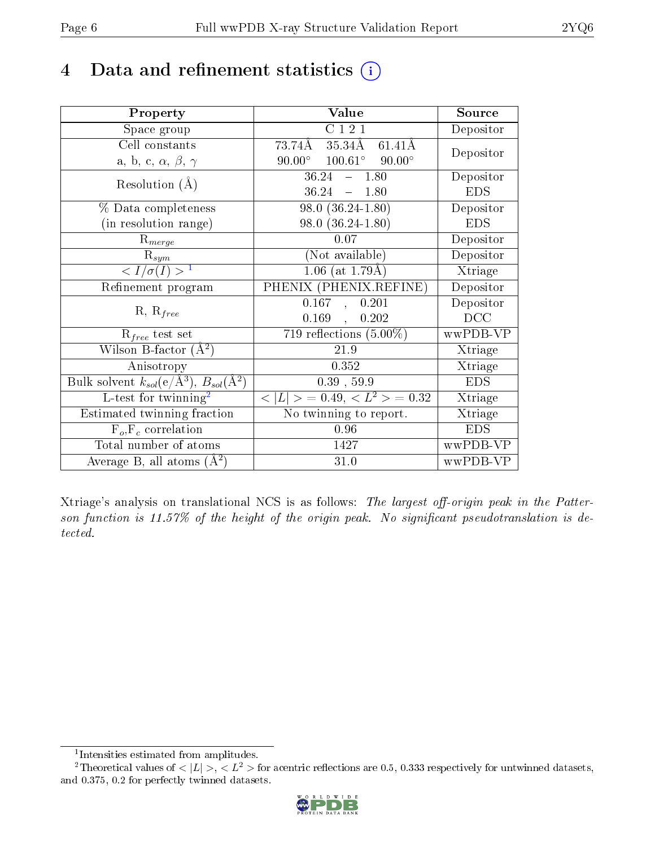## 4 Data and refinement statistics  $(i)$

| Property                                                             | Value                                                         | Source     |
|----------------------------------------------------------------------|---------------------------------------------------------------|------------|
| Space group                                                          | C121                                                          | Depositor  |
| Cell constants                                                       | $35.34\overline{\text{AA}}$<br>$73.74$ Å<br>$61.41\text{\AA}$ | Depositor  |
| a, b, c, $\alpha$ , $\beta$ , $\gamma$                               | $100.61^{\circ}$ 90.00°<br>$90.00^\circ$                      |            |
| Resolution $(A)$                                                     | 36.24<br>1.80<br>$\frac{1}{2}$ and $\frac{1}{2}$              | Depositor  |
|                                                                      | 36.24<br>$-1.80$                                              | <b>EDS</b> |
| % Data completeness                                                  | $98.0(36.24-1.80)$                                            | Depositor  |
| (in resolution range)                                                | $98.0(36.24-1.80)$                                            | <b>EDS</b> |
| $R_{merge}$                                                          | 0.07                                                          | Depositor  |
| $\mathrm{R}_{sym}$                                                   | (Not available)                                               | Depositor  |
| $\langle I/\sigma(I) \rangle^{-1}$                                   | $1.06$ (at 1.79Å)                                             | Xtriage    |
| Refinement program                                                   | $PHENI\overline{X}$ (PHENIX.REFINE)                           | Depositor  |
|                                                                      | 0.167<br>0.201<br>$\overline{A}$                              | Depositor  |
| $R, R_{free}$                                                        | 0.169<br>0.202<br>$\mathbf{A}$                                | DCC        |
| $\mathcal{R}_{free}$ test set                                        | 719 reflections $(5.00\%)$                                    | wwPDB-VP   |
| Wilson B-factor $(A^2)$                                              | 21.9                                                          | Xtriage    |
| Anisotropy                                                           | 0.352                                                         | Xtriage    |
| Bulk solvent $k_{sol}(e/\mathring{A}^3)$ , $B_{sol}(\mathring{A}^2)$ | $0.39$ , $59.9$                                               | <b>EDS</b> |
| L-test for $\mathrm{twinning}^2$                                     | $< L >$ = 0.49, $< L2$ = 0.32                                 | Xtriage    |
| Estimated twinning fraction                                          | No twinning to report.                                        | Xtriage    |
| $F_o, F_c$ correlation                                               | 0.96                                                          | <b>EDS</b> |
| Total number of atoms                                                | 1427                                                          | wwPDB-VP   |
| Average B, all atoms $(A^2)$                                         | 31.0                                                          | wwPDB-VP   |

Xtriage's analysis on translational NCS is as follows: The largest off-origin peak in the Patterson function is  $11.57\%$  of the height of the origin peak. No significant pseudotranslation is detected.

<sup>&</sup>lt;sup>2</sup>Theoretical values of  $\langle |L| \rangle$ ,  $\langle L^2 \rangle$  for acentric reflections are 0.5, 0.333 respectively for untwinned datasets, and 0.375, 0.2 for perfectly twinned datasets.



<span id="page-5-1"></span><span id="page-5-0"></span><sup>1</sup> Intensities estimated from amplitudes.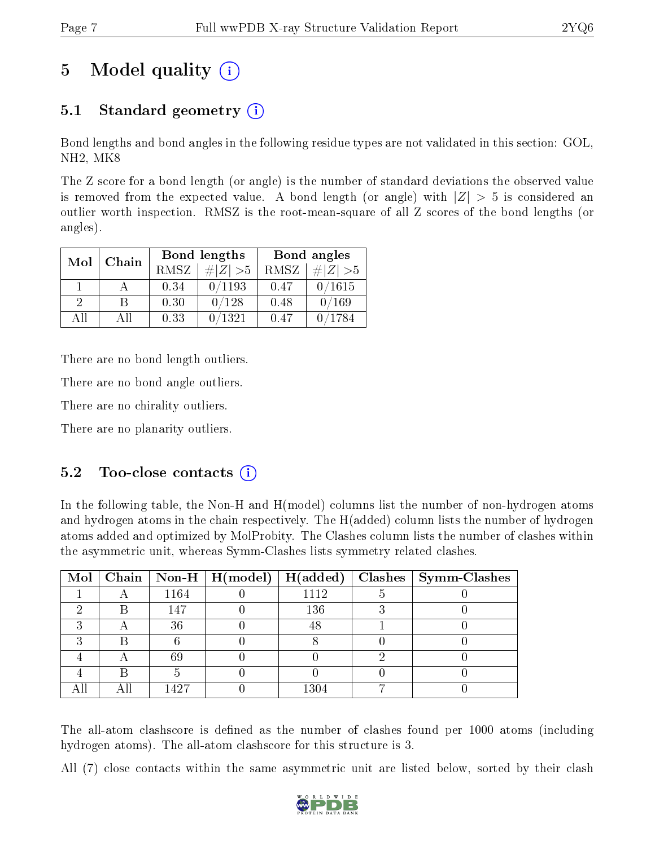# 5 Model quality  $(i)$

### 5.1 Standard geometry (i)

Bond lengths and bond angles in the following residue types are not validated in this section: GOL, NH2, MK8

The Z score for a bond length (or angle) is the number of standard deviations the observed value is removed from the expected value. A bond length (or angle) with  $|Z| > 5$  is considered an outlier worth inspection. RMSZ is the root-mean-square of all Z scores of the bond lengths (or angles).

| Mol      | Chain |      | Bond lengths | Bond angles |             |  |
|----------|-------|------|--------------|-------------|-------------|--|
|          |       | RMSZ | $\# Z  > 5$  | RMSZ        | $\ Z\  > 5$ |  |
|          |       | 0.34 | 0/1193       | 0.47        | 0/1615      |  |
| $\Omega$ |       | 0.30 | 0/128        | 0.48        | 0/169       |  |
| ΔH       | ΑH    | 0.33 | 1321         | 0.47        | 1784        |  |

There are no bond length outliers.

There are no bond angle outliers.

There are no chirality outliers.

There are no planarity outliers.

#### $5.2$  Too-close contacts  $(i)$

In the following table, the Non-H and H(model) columns list the number of non-hydrogen atoms and hydrogen atoms in the chain respectively. The H(added) column lists the number of hydrogen atoms added and optimized by MolProbity. The Clashes column lists the number of clashes within the asymmetric unit, whereas Symm-Clashes lists symmetry related clashes.

|   |      |          | Mol   Chain   Non-H   H(model)   H(added)   Clashes   Symm-Clashes |
|---|------|----------|--------------------------------------------------------------------|
|   | 1164 | 1112     |                                                                    |
|   | 147  | 136      |                                                                    |
|   | 36   | 48       |                                                                    |
| ച |      |          |                                                                    |
|   | 69   |          |                                                                    |
|   |      |          |                                                                    |
|   | 1427 | $1304\,$ |                                                                    |

The all-atom clashscore is defined as the number of clashes found per 1000 atoms (including hydrogen atoms). The all-atom clashscore for this structure is 3.

All (7) close contacts within the same asymmetric unit are listed below, sorted by their clash

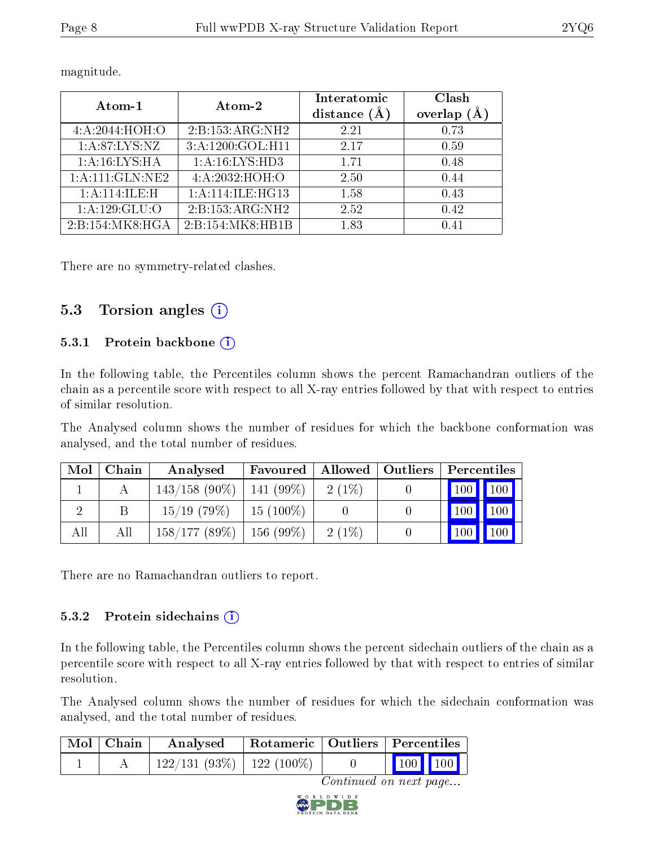| Atom-1                                 | Atom-2            | Interatomic<br>distance $(A)$ | Clash<br>overlap |
|----------------------------------------|-------------------|-------------------------------|------------------|
| 4:A:2044:H <sub>0</sub> H <sub>1</sub> | 2:B:153:ARG:NH2   | 2.21                          | 0.73             |
| 1: A:87: LYS:NZ                        | 3:A:1200:GOL:H11  | 2.17                          | 0.59             |
| 1:A:16:LYS:HA                          | 1: A:16: LYS: HD3 | 1.71                          | 0.48             |
| 1: A: 111: GLN: NE2                    | 4:A:2032:HOH:O    | 2.50                          | 0.44             |
| 1: A:114: ILE:H                        | 1:A:114:ILE:HG13  | 1.58                          | 0.43             |
| 1: A: 129: GLU: O                      | 2:B:153:ARG:NH2   | 2.52                          | 0.42             |
| 2:B:154:MK8:HGA                        | 2:B:154:MK8:HB1B  | 1.83                          | 0.41             |

magnitude.

There are no symmetry-related clashes.

#### 5.3 Torsion angles  $(i)$

#### 5.3.1 Protein backbone (i)

In the following table, the Percentiles column shows the percent Ramachandran outliers of the chain as a percentile score with respect to all X-ray entries followed by that with respect to entries of similar resolution.

The Analysed column shows the number of residues for which the backbone conformation was analysed, and the total number of residues.

| Mol | Chain | Analysed                      | Favoured     |          | Allowed   Outliers   Percentiles |                                   |     |
|-----|-------|-------------------------------|--------------|----------|----------------------------------|-----------------------------------|-----|
|     |       | $143/158$ (90\%)   141 (99\%) |              | $2(1\%)$ |                                  |                                   |     |
|     |       | $15/19$ (79\%)                | 15 $(100\%)$ |          |                                  | 100                               | 100 |
| All | All   | $158/177(89\%)$   156 (99\%)  |              | $2(1\%)$ |                                  | $\vert$ 100 $\vert$ 100 $\vert$ 1 |     |

There are no Ramachandran outliers to report.

#### 5.3.2 Protein sidechains (i)

In the following table, the Percentiles column shows the percent sidechain outliers of the chain as a percentile score with respect to all X-ray entries followed by that with respect to entries of similar resolution.

The Analysed column shows the number of residues for which the sidechain conformation was analysed, and the total number of residues.

| Mol   Chain | Analysed                      | Rotameric   Outliers   Percentiles |                                            |  |
|-------------|-------------------------------|------------------------------------|--------------------------------------------|--|
|             | $122/131(93\%)$   122 (100\%) |                                    | $\begin{bmatrix} 100 \\ 100 \end{bmatrix}$ |  |

Continued on next page...

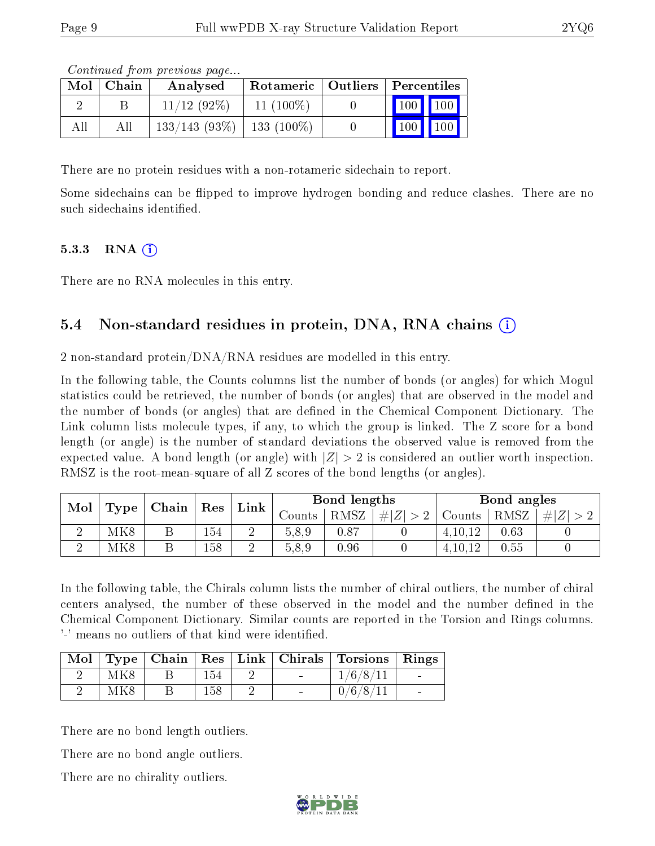| Mol | ∣ Chain | Analysed                       |             | Rotameric   Outliers   Percentiles |  |
|-----|---------|--------------------------------|-------------|------------------------------------|--|
|     |         | $11/12$ (92\%)                 | $11(100\%)$ | 100 100                            |  |
| All | All     | $133/143$ (93\%)   133 (100\%) |             | $\vert$ 100 $\vert$ 100 $\vert$    |  |

Continued from previous page...

There are no protein residues with a non-rotameric sidechain to report.

Some sidechains can be flipped to improve hydrogen bonding and reduce clashes. There are no such sidechains identified.

#### $5.3.3$  RNA  $(i)$

There are no RNA molecules in this entry.

### 5.4 Non-standard residues in protein, DNA, RNA chains (i)

2 non-standard protein/DNA/RNA residues are modelled in this entry.

In the following table, the Counts columns list the number of bonds (or angles) for which Mogul statistics could be retrieved, the number of bonds (or angles) that are observed in the model and the number of bonds (or angles) that are dened in the Chemical Component Dictionary. The Link column lists molecule types, if any, to which the group is linked. The Z score for a bond length (or angle) is the number of standard deviations the observed value is removed from the expected value. A bond length (or angle) with  $|Z| > 2$  is considered an outlier worth inspection. RMSZ is the root-mean-square of all Z scores of the bond lengths (or angles).

| Mol<br>Type |     | Chain   Res |     | Link   |          | Bond lengths |         |           | Bond angles |     |  |
|-------------|-----|-------------|-----|--------|----------|--------------|---------|-----------|-------------|-----|--|
|             |     |             |     |        | Jounts . | RMSZ         | $\# Z $ | Counts    | RMSZ        | H Z |  |
|             | MK8 |             | 154 | ച<br>↩ | 5.8.9    | 0.87         |         | 4, 10, 12 | 0.63        |     |  |
|             | MK8 |             | 158 | ച<br>↵ | 5.8.9    | 0.96         |         | 4, 10, 12 | 0.55        |     |  |

In the following table, the Chirals column lists the number of chiral outliers, the number of chiral centers analysed, the number of these observed in the model and the number defined in the Chemical Component Dictionary. Similar counts are reported in the Torsion and Rings columns. '-' means no outliers of that kind were identified.

|     |     |                          | Mol   Type   Chain   Res   Link   Chirals   Torsions   Rings |                          |
|-----|-----|--------------------------|--------------------------------------------------------------|--------------------------|
| MK8 | 154 | <b>Contract Contract</b> | 1/6/8/11                                                     | <b>Contract Contract</b> |
| MK8 | 158 | $\overline{\phantom{a}}$ | 0/6/8/11                                                     | $\overline{\phantom{a}}$ |

There are no bond length outliers.

There are no bond angle outliers.

There are no chirality outliers.

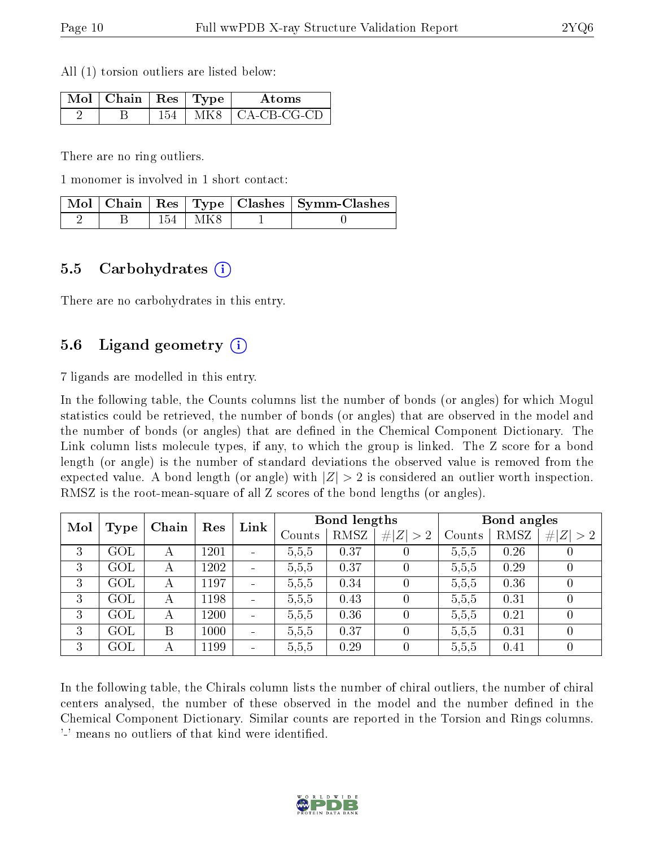All (1) torsion outliers are listed below:

| $\mathbb{N}$ ol   Chain   Res   Type |     |      | Atoms               |
|--------------------------------------|-----|------|---------------------|
|                                      | 154 | MK8. | $\vert$ CA-CB-CG-CD |

There are no ring outliers.

1 monomer is involved in 1 short contact:

|  |           | Mol   Chain   Res   Type   Clashes   Symm-Clashes |
|--|-----------|---------------------------------------------------|
|  | 154   MK8 |                                                   |

#### 5.5 Carbohydrates (i)

There are no carbohydrates in this entry.

#### 5.6 Ligand geometry (i)

7 ligands are modelled in this entry.

In the following table, the Counts columns list the number of bonds (or angles) for which Mogul statistics could be retrieved, the number of bonds (or angles) that are observed in the model and the number of bonds (or angles) that are defined in the Chemical Component Dictionary. The Link column lists molecule types, if any, to which the group is linked. The Z score for a bond length (or angle) is the number of standard deviations the observed value is removed from the expected value. A bond length (or angle) with  $|Z| > 2$  is considered an outlier worth inspection. RMSZ is the root-mean-square of all Z scores of the bond lengths (or angles).

| Mol |      |       | Link<br>Res |                | Bond lengths |      |                  | Bond angles |      |             |
|-----|------|-------|-------------|----------------|--------------|------|------------------|-------------|------|-------------|
|     | Type | Chain |             |                | Counts       | RMSZ | # $ Z  > 2$      | Counts      | RMSZ | # $ Z  > 2$ |
| 3   | GOL  | А     | 1201        | $\blacksquare$ | 5,5,5        | 0.37 |                  | 5,5,5       | 0.26 |             |
| 3   | GOL  | А     | 1202        | $\blacksquare$ | 5,5,5        | 0.37 |                  | 5,5,5       | 0.29 |             |
| 3   | GOL  | А     | 1197        | $\blacksquare$ | 5,5,5        | 0.34 |                  | 5,5,5       | 0.36 | 0           |
| 3   | GOL  | А     | 1198        | $\equiv$       | 5,5,5        | 0.43 |                  | 5,5,5       | 0.31 | O           |
| 3   | GOL  | А     | 1200        | $\equiv$       | 5,5,5        | 0.36 | $\left( \right)$ | 5,5,5       | 0.21 | $\cup$      |
| 3   | GOL  | Β     | 1000        | $\sim$         | 5,5,5        | 0.37 | $\left( \right)$ | 5,5,5       | 0.31 | $\theta$    |
| 3   | GOL  | А     | 1199        | $\blacksquare$ | 5,5,5        | 0.29 | $\theta$         | 5,5,5       | 0.41 |             |

In the following table, the Chirals column lists the number of chiral outliers, the number of chiral centers analysed, the number of these observed in the model and the number defined in the Chemical Component Dictionary. Similar counts are reported in the Torsion and Rings columns. '-' means no outliers of that kind were identified.

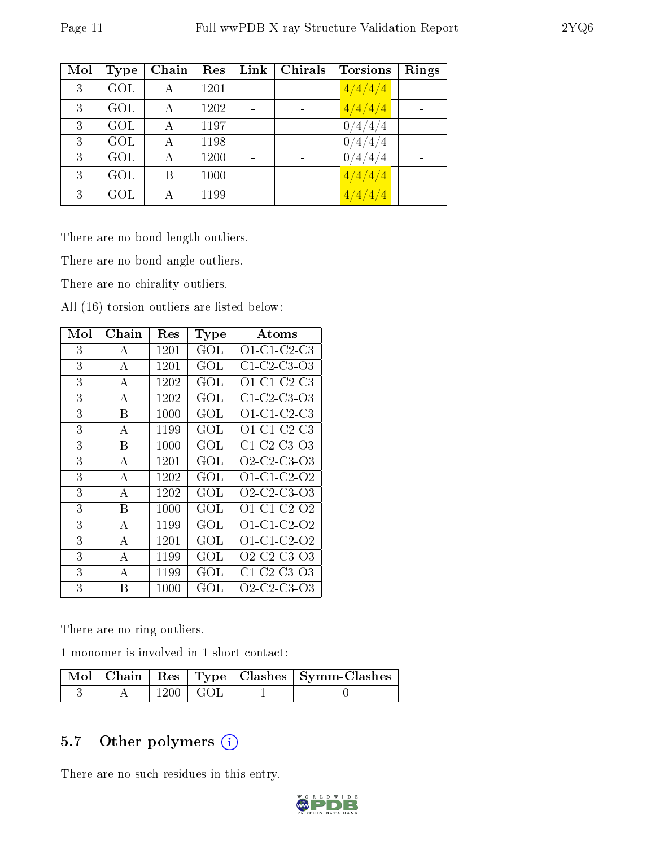| Mol | <b>Type</b> | Chain | Res  | Link | Chirals | <b>Torsions</b>             | Rings |
|-----|-------------|-------|------|------|---------|-----------------------------|-------|
| 3   | GOL         | А     | 1201 |      |         | $\frac{4}{4}/\frac{4}{4}$   |       |
| 3   | GOL         | А     | 1202 |      |         | 4/4/4/4                     |       |
| 3   | GOL         | А     | 1197 |      |         | 4/4/<br>0<br>$^{\prime}$ 4  |       |
| 3   | GOL         | А     | 1198 |      |         | 0<br>$^{\prime}4/4$ /<br>΄4 |       |
| 3   | GOL         | А     | 1200 |      |         | 0<br>4.<br>΄4<br>4/         |       |
| 3   | GOL         | B     | 1000 |      |         | /4/4/4<br>4/                |       |
| 3   | GOL         |       | 1199 |      |         | 4/4/4/4                     |       |

There are no bond length outliers.

There are no bond angle outliers.

There are no chirality outliers.

All (16) torsion outliers are listed below:

| Mol | $Chain$      | Res  | Type      | <b>Atoms</b>                                                   |
|-----|--------------|------|-----------|----------------------------------------------------------------|
| 3   | А            | 1201 | GOL       | $O1$ -C1-C2-C3                                                 |
| 3   | A            | 1201 | GOL       | $C1-C2-C3-O3$                                                  |
| 3   | А            | 1202 | GOL       | O1-C1-C2-C3                                                    |
| 3   | А            | 1202 | GOL       | C1-C2-C3-O3                                                    |
| 3   | В            | 1000 | GOL       | $O1$ -C1-C2-C3                                                 |
| 3   | А            | 1199 | GOL       | $O1$ -C1-C2-C3                                                 |
| 3   | В            | 1000 | $\rm GOL$ | $C1-C2-C3-O3$                                                  |
| 3   | А            | 1201 | GOL       | O <sub>2</sub> -C <sub>2</sub> -C <sub>3</sub> -O <sub>3</sub> |
| 3   | А            | 1202 | GOL       | $O1 \text{ } C1 \text{ } C2 \text{ } O2$                       |
| 3   | A            | 1202 | GOL       | O <sub>2</sub> C <sub>2</sub> C <sub>3</sub> O <sub>3</sub>    |
| 3   | В            | 1000 | GOL       | O1-C1-C2-O2                                                    |
| 3   | А            | 1199 | GOL       | O1-C1-C2-O2                                                    |
| 3   | А            | 1201 | GOL       | O1-C1-C2-O2                                                    |
| 3   | А            | 1199 | GOL       | O <sub>2</sub> -C <sub>2</sub> -C <sub>3</sub> -O <sub>3</sub> |
| 3   | $\mathbf{A}$ | 1199 | GOL       | $C1-C2-C3-O3$                                                  |
| 3   | В            | 1000 | GOL       | O2-C2-C3-O3                                                    |

There are no ring outliers.

1 monomer is involved in 1 short contact:

|  |                  | Mol   Chain   Res   Type   Clashes   Symm-Clashes ' |
|--|------------------|-----------------------------------------------------|
|  | $1200 \perp GOL$ |                                                     |

### 5.7 [O](https://www.wwpdb.org/validation/2017/XrayValidationReportHelp#nonstandard_residues_and_ligands)ther polymers (i)

There are no such residues in this entry.

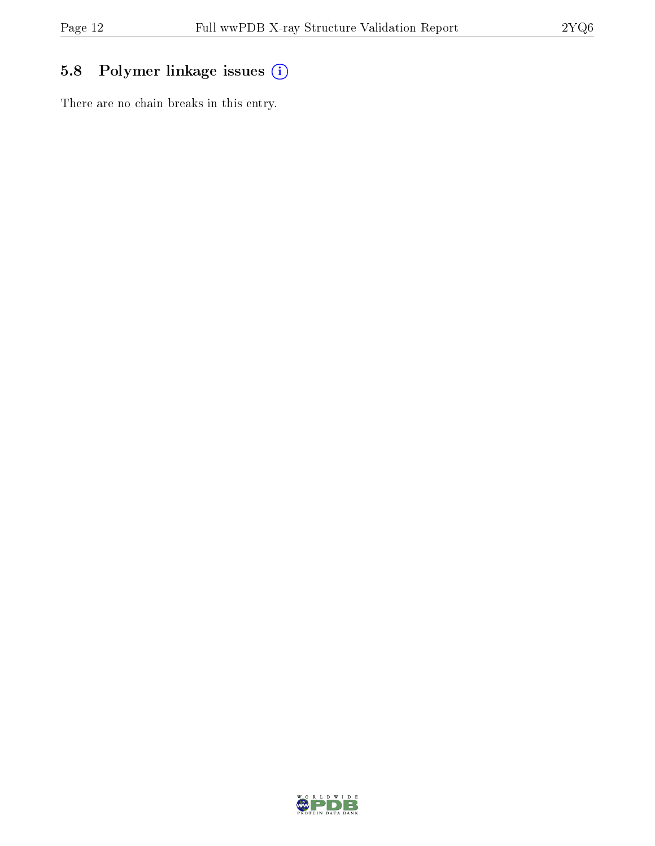### 5.8 Polymer linkage issues (i)

There are no chain breaks in this entry.

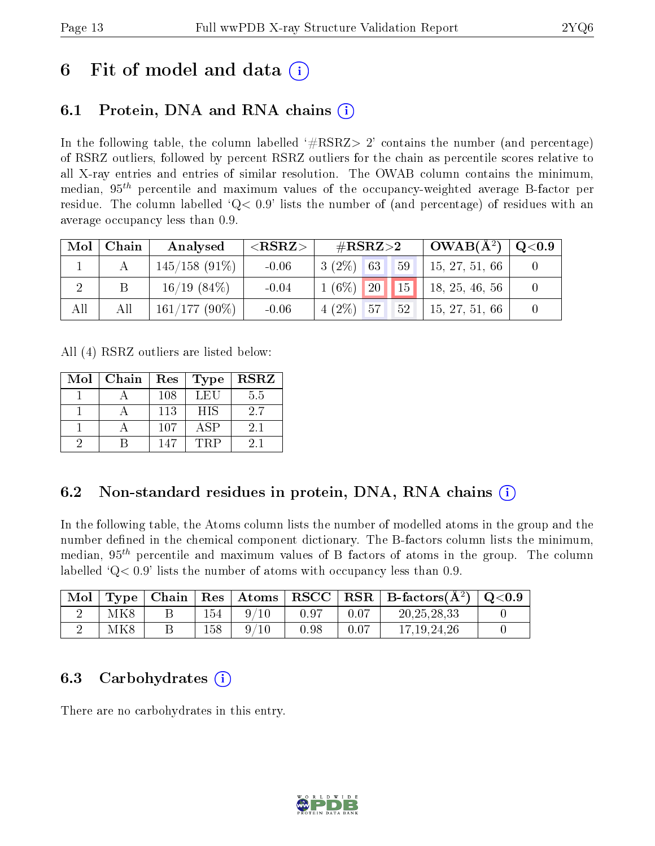## 6 Fit of model and data  $\left( \cdot \right)$

### 6.1 Protein, DNA and RNA chains (i)

In the following table, the column labelled  $#RSRZ>2'$  contains the number (and percentage) of RSRZ outliers, followed by percent RSRZ outliers for the chain as percentile scores relative to all X-ray entries and entries of similar resolution. The OWAB column contains the minimum, median,  $95<sup>th</sup>$  percentile and maximum values of the occupancy-weighted average B-factor per residue. The column labelled  $Q< 0.9$  lists the number of (and percentage) of residues with an average occupancy less than 0.9.

| Mol | Chain | Analysed         | ${ <\hspace{-1.5pt}{\mathrm{RSRZ}} \hspace{-1.5pt}>}$ | $\#\text{RSRZ}\text{>2}$ | $OWAB(A^2)$    | $\rm Q\textcolor{black}{<}0.9$ |
|-----|-------|------------------|-------------------------------------------------------|--------------------------|----------------|--------------------------------|
|     |       | $145/158$ (91\%) | $-0.06$                                               | $3(2\%)$ 63<br>59        | 15, 27, 51, 66 |                                |
|     |       | 16/19(84%)       | $-0.04$                                               | $1(6\%)$ 20   15         | 18, 25, 46, 56 |                                |
| All | All   | $161/177(90\%)$  | $-0.06$                                               | $4(2\%)$ 57<br>52        | 15, 27, 51, 66 |                                |

All (4) RSRZ outliers are listed below:

| Mol | Chain | Res | <b>Type</b> | <b>RSRZ</b> |
|-----|-------|-----|-------------|-------------|
|     |       | 108 | LEU         | 5.5         |
|     |       | 113 | <b>HIS</b>  | 2.7         |
|     |       | 107 | ASP         | 2.1         |
|     |       | 147 | TRP         | 21          |

### 6.2 Non-standard residues in protein, DNA, RNA chains (i)

In the following table, the Atoms column lists the number of modelled atoms in the group and the number defined in the chemical component dictionary. The B-factors column lists the minimum, median,  $95<sup>th</sup>$  percentile and maximum values of B factors of atoms in the group. The column labelled  $Q< 0.9$ ' lists the number of atoms with occupancy less than 0.9.

| Mol | $T$ vpe         |     | $\vert$ Chain $\vert$ Res $\vert$ Atoms $\vert$ |      |      | $ RSCC RSR B-factors(A^2) $ | $\mid$ Q<0.9 |
|-----|-----------------|-----|-------------------------------------------------|------|------|-----------------------------|--------------|
|     | MK8             | 154 |                                                 | 0.97 | 0.07 | 20, 25, 28, 33              |              |
|     | MK <sub>8</sub> | 158 | $\alpha$ /                                      | 0.98 | 0.07 | 17.19.24.26                 |              |

#### 6.3 Carbohydrates (i)

There are no carbohydrates in this entry.